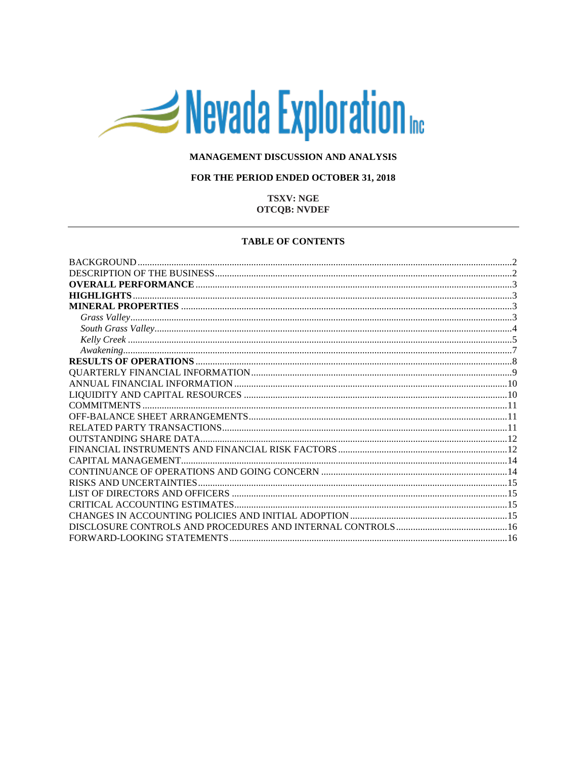# Nevada Exploration

## MANAGEMENT DISCUSSION AND ANALYSIS

## FOR THE PERIOD ENDED OCTOBER 31, 2018

## **TSXV: NGE OTCQB: NVDEF**

#### **TABLE OF CONTENTS**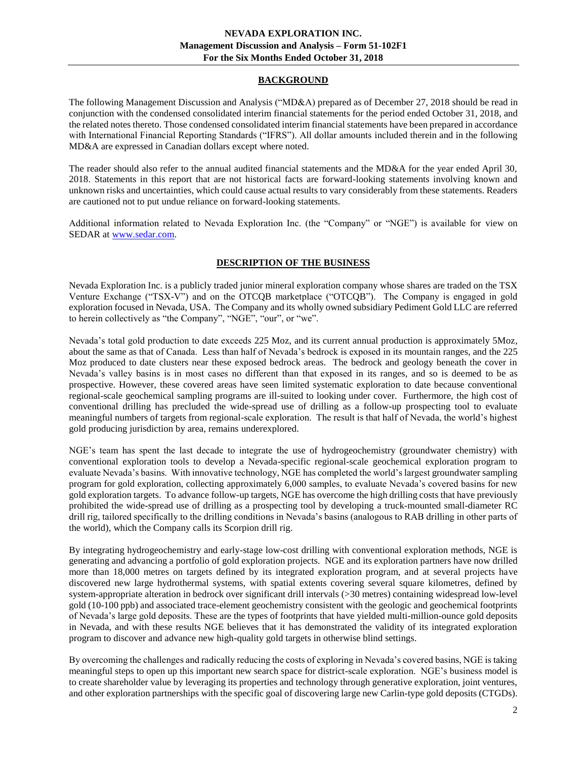## **BACKGROUND**

<span id="page-1-0"></span>The following Management Discussion and Analysis ("MD&A) prepared as of December 27, 2018 should be read in conjunction with the condensed consolidated interim financial statements for the period ended October 31, 2018, and the related notes thereto. Those condensed consolidated interim financial statements have been prepared in accordance with International Financial Reporting Standards ("IFRS"). All dollar amounts included therein and in the following MD&A are expressed in Canadian dollars except where noted.

The reader should also refer to the annual audited financial statements and the MD&A for the year ended April 30, 2018. Statements in this report that are not historical facts are forward-looking statements involving known and unknown risks and uncertainties, which could cause actual results to vary considerably from these statements. Readers are cautioned not to put undue reliance on forward-looking statements.

<span id="page-1-1"></span>Additional information related to Nevada Exploration Inc. (the "Company" or "NGE") is available for view on SEDAR at [www.sedar.com.](http://www.sedar.com/)

# **DESCRIPTION OF THE BUSINESS**

Nevada Exploration Inc. is a publicly traded junior mineral exploration company whose shares are traded on the TSX Venture Exchange ("TSX-V") and on the OTCQB marketplace ("OTCQB"). The Company is engaged in gold exploration focused in Nevada, USA. The Company and its wholly owned subsidiary Pediment Gold LLC are referred to herein collectively as "the Company", "NGE", "our", or "we".

Nevada's total gold production to date exceeds 225 Moz, and its current annual production is approximately 5Moz, about the same as that of Canada. Less than half of Nevada's bedrock is exposed in its mountain ranges, and the 225 Moz produced to date clusters near these exposed bedrock areas. The bedrock and geology beneath the cover in Nevada's valley basins is in most cases no different than that exposed in its ranges, and so is deemed to be as prospective. However, these covered areas have seen limited systematic exploration to date because conventional regional-scale geochemical sampling programs are ill-suited to looking under cover. Furthermore, the high cost of conventional drilling has precluded the wide-spread use of drilling as a follow-up prospecting tool to evaluate meaningful numbers of targets from regional-scale exploration. The result is that half of Nevada, the world's highest gold producing jurisdiction by area, remains underexplored.

NGE's team has spent the last decade to integrate the use of hydrogeochemistry (groundwater chemistry) with conventional exploration tools to develop a Nevada-specific regional-scale geochemical exploration program to evaluate Nevada's basins. With innovative technology, NGE has completed the world's largest groundwater sampling program for gold exploration, collecting approximately 6,000 samples, to evaluate Nevada's covered basins for new gold exploration targets. To advance follow-up targets, NGE has overcome the high drilling costs that have previously prohibited the wide-spread use of drilling as a prospecting tool by developing a truck-mounted small-diameter RC drill rig, tailored specifically to the drilling conditions in Nevada's basins (analogous to RAB drilling in other parts of the world), which the Company calls its Scorpion drill rig.

By integrating hydrogeochemistry and early-stage low-cost drilling with conventional exploration methods, NGE is generating and advancing a portfolio of gold exploration projects. NGE and its exploration partners have now drilled more than 18,000 metres on targets defined by its integrated exploration program, and at several projects have discovered new large hydrothermal systems, with spatial extents covering several square kilometres, defined by system-appropriate alteration in bedrock over significant drill intervals (>30 metres) containing widespread low-level gold (10-100 ppb) and associated trace-element geochemistry consistent with the geologic and geochemical footprints of Nevada's large gold deposits. These are the types of footprints that have yielded multi-million-ounce gold deposits in Nevada, and with these results NGE believes that it has demonstrated the validity of its integrated exploration program to discover and advance new high-quality gold targets in otherwise blind settings.

By overcoming the challenges and radically reducing the costs of exploring in Nevada's covered basins, NGE is taking meaningful steps to open up this important new search space for district-scale exploration. NGE's business model is to create shareholder value by leveraging its properties and technology through generative exploration, joint ventures, and other exploration partnerships with the specific goal of discovering large new Carlin-type gold deposits (CTGDs).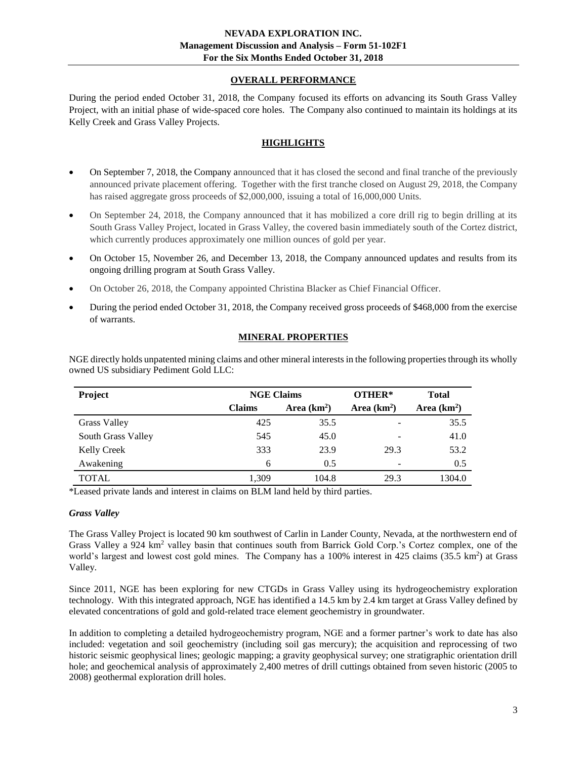# **OVERALL PERFORMANCE**

<span id="page-2-0"></span>During the period ended October 31, 2018, the Company focused its efforts on advancing its South Grass Valley Project, with an initial phase of wide-spaced core holes. The Company also continued to maintain its holdings at its Kelly Creek and Grass Valley Projects.

# **HIGHLIGHTS**

- <span id="page-2-1"></span>• On September 7, 2018, the Company announced that it has closed the second and final tranche of the previously announced private placement offering. Together with the first tranche closed on August 29, 2018, the Company has raised aggregate gross proceeds of \$2,000,000, issuing a total of 16,000,000 Units.
- On September 24, 2018, the Company announced that it has mobilized a core drill rig to begin drilling at its South Grass Valley Project, located in Grass Valley, the covered basin immediately south of the Cortez district, which currently produces approximately one million ounces of gold per year.
- On October 15, November 26, and December 13, 2018, the Company announced updates and results from its ongoing drilling program at South Grass Valley.
- On October 26, 2018, the Company appointed Christina Blacker as Chief Financial Officer.
- During the period ended October 31, 2018, the Company received gross proceeds of \$468,000 from the exercise of warrants.

# **MINERAL PROPERTIES**

<span id="page-2-2"></span>NGE directly holds unpatented mining claims and other mineral interests in the following properties through its wholly owned US subsidiary Pediment Gold LLC:

| Project             | <b>NGE Claims</b> |              | OTHER*                   | <b>Total</b> |
|---------------------|-------------------|--------------|--------------------------|--------------|
|                     | <b>Claims</b>     | Area $(km2)$ | Area $(km2)$             | Area $(km2)$ |
| <b>Grass Valley</b> | 425               | 35.5         | ۰                        | 35.5         |
| South Grass Valley  | 545               | 45.0         | -                        | 41.0         |
| <b>Kelly Creek</b>  | 333               | 23.9         | 29.3                     | 53.2         |
| Awakening           | 6                 | 0.5          | $\overline{\phantom{a}}$ | 0.5          |
| <b>TOTAL</b>        | 1.309             | 104.8        | 29.3                     | 1304.0       |

\*Leased private lands and interest in claims on BLM land held by third parties.

## <span id="page-2-3"></span>*Grass Valley*

The Grass Valley Project is located 90 km southwest of Carlin in Lander County, Nevada, at the northwestern end of Grass Valley a 924 km<sup>2</sup> valley basin that continues south from Barrick Gold Corp.'s Cortez complex, one of the world's largest and lowest cost gold mines. The Company has a 100% interest in 425 claims (35.5 km<sup>2</sup>) at Grass Valley.

Since 2011, NGE has been exploring for new CTGDs in Grass Valley using its hydrogeochemistry exploration technology. With this integrated approach, NGE has identified a 14.5 km by 2.4 km target at Grass Valley defined by elevated concentrations of gold and gold-related trace element geochemistry in groundwater.

In addition to completing a detailed hydrogeochemistry program, NGE and a former partner's work to date has also included: vegetation and soil geochemistry (including soil gas mercury); the acquisition and reprocessing of two historic seismic geophysical lines; geologic mapping; a gravity geophysical survey; one stratigraphic orientation drill hole; and geochemical analysis of approximately 2,400 metres of drill cuttings obtained from seven historic (2005 to 2008) geothermal exploration drill holes.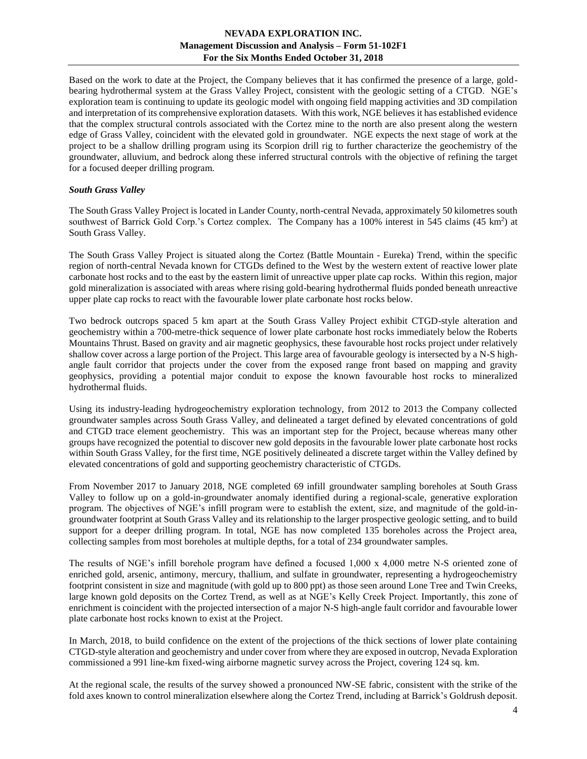# **NEVADA EXPLORATION INC. Management Discussion and Analysis – Form 51-102F1 For the Six Months Ended October 31, 2018**

Based on the work to date at the Project, the Company believes that it has confirmed the presence of a large, goldbearing hydrothermal system at the Grass Valley Project, consistent with the geologic setting of a CTGD. NGE's exploration team is continuing to update its geologic model with ongoing field mapping activities and 3D compilation and interpretation of its comprehensive exploration datasets. With this work, NGE believes it has established evidence that the complex structural controls associated with the Cortez mine to the north are also present along the western edge of Grass Valley, coincident with the elevated gold in groundwater. NGE expects the next stage of work at the project to be a shallow drilling program using its Scorpion drill rig to further characterize the geochemistry of the groundwater, alluvium, and bedrock along these inferred structural controls with the objective of refining the target for a focused deeper drilling program.

#### <span id="page-3-0"></span>*South Grass Valley*

The South Grass Valley Project is located in Lander County, north-central Nevada, approximately 50 kilometres south southwest of Barrick Gold Corp.'s Cortez complex. The Company has a 100% interest in 545 claims (45 km<sup>2</sup>) at South Grass Valley.

The South Grass Valley Project is situated along the Cortez (Battle Mountain - Eureka) Trend, within the specific region of north-central Nevada known for CTGDs defined to the West by the western extent of reactive lower plate carbonate host rocks and to the east by the eastern limit of unreactive upper plate cap rocks. Within this region, major gold mineralization is associated with areas where rising gold-bearing hydrothermal fluids ponded beneath unreactive upper plate cap rocks to react with the favourable lower plate carbonate host rocks below.

Two bedrock outcrops spaced 5 km apart at the South Grass Valley Project exhibit CTGD-style alteration and geochemistry within a 700-metre-thick sequence of lower plate carbonate host rocks immediately below the Roberts Mountains Thrust. Based on gravity and air magnetic geophysics, these favourable host rocks project under relatively shallow cover across a large portion of the Project. This large area of favourable geology is intersected by a N-S highangle fault corridor that projects under the cover from the exposed range front based on mapping and gravity geophysics, providing a potential major conduit to expose the known favourable host rocks to mineralized hydrothermal fluids.

Using its industry-leading hydrogeochemistry exploration technology, from 2012 to 2013 the Company collected groundwater samples across South Grass Valley, and delineated a target defined by elevated concentrations of gold and CTGD trace element geochemistry. This was an important step for the Project, because whereas many other groups have recognized the potential to discover new gold deposits in the favourable lower plate carbonate host rocks within South Grass Valley, for the first time, NGE positively delineated a discrete target within the Valley defined by elevated concentrations of gold and supporting geochemistry characteristic of CTGDs.

From November 2017 to January 2018, NGE completed 69 infill groundwater sampling boreholes at South Grass Valley to follow up on a gold-in-groundwater anomaly identified during a regional-scale, generative exploration program. The objectives of NGE's infill program were to establish the extent, size, and magnitude of the gold-ingroundwater footprint at South Grass Valley and its relationship to the larger prospective geologic setting, and to build support for a deeper drilling program. In total, NGE has now completed 135 boreholes across the Project area, collecting samples from most boreholes at multiple depths, for a total of 234 groundwater samples.

The results of NGE's infill borehole program have defined a focused 1,000 x 4,000 metre N-S oriented zone of enriched gold, arsenic, antimony, mercury, thallium, and sulfate in groundwater, representing a hydrogeochemistry footprint consistent in size and magnitude (with gold up to 800 ppt) as those seen around Lone Tree and Twin Creeks, large known gold deposits on the Cortez Trend, as well as at NGE's Kelly Creek Project. Importantly, this zone of enrichment is coincident with the projected intersection of a major N-S high-angle fault corridor and favourable lower plate carbonate host rocks known to exist at the Project.

In March, 2018, to build confidence on the extent of the projections of the thick sections of lower plate containing CTGD-style alteration and geochemistry and under cover from where they are exposed in outcrop, Nevada Exploration commissioned a 991 line-km fixed-wing airborne magnetic survey across the Project, covering 124 sq. km.

At the regional scale, the results of the survey showed a pronounced NW-SE fabric, consistent with the strike of the fold axes known to control mineralization elsewhere along the Cortez Trend, including at Barrick's Goldrush deposit.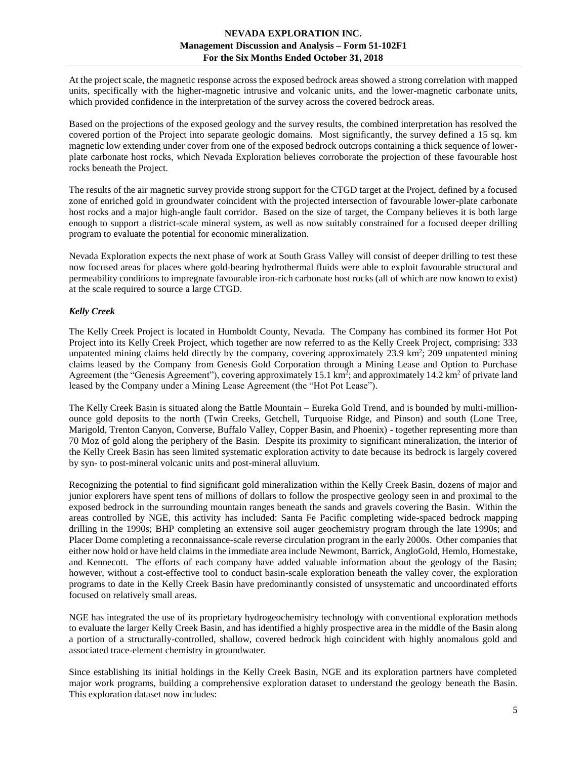# **NEVADA EXPLORATION INC. Management Discussion and Analysis – Form 51-102F1 For the Six Months Ended October 31, 2018**

At the project scale, the magnetic response across the exposed bedrock areas showed a strong correlation with mapped units, specifically with the higher-magnetic intrusive and volcanic units, and the lower-magnetic carbonate units, which provided confidence in the interpretation of the survey across the covered bedrock areas.

Based on the projections of the exposed geology and the survey results, the combined interpretation has resolved the covered portion of the Project into separate geologic domains. Most significantly, the survey defined a 15 sq. km magnetic low extending under cover from one of the exposed bedrock outcrops containing a thick sequence of lowerplate carbonate host rocks, which Nevada Exploration believes corroborate the projection of these favourable host rocks beneath the Project.

The results of the air magnetic survey provide strong support for the CTGD target at the Project, defined by a focused zone of enriched gold in groundwater coincident with the projected intersection of favourable lower-plate carbonate host rocks and a major high-angle fault corridor. Based on the size of target, the Company believes it is both large enough to support a district-scale mineral system, as well as now suitably constrained for a focused deeper drilling program to evaluate the potential for economic mineralization.

Nevada Exploration expects the next phase of work at South Grass Valley will consist of deeper drilling to test these now focused areas for places where gold-bearing hydrothermal fluids were able to exploit favourable structural and permeability conditions to impregnate favourable iron-rich carbonate host rocks (all of which are now known to exist) at the scale required to source a large CTGD.

# <span id="page-4-0"></span>*Kelly Creek*

The Kelly Creek Project is located in Humboldt County, Nevada. The Company has combined its former Hot Pot Project into its Kelly Creek Project, which together are now referred to as the Kelly Creek Project, comprising: 333 unpatented mining claims held directly by the company, covering approximately 23.9 km<sup>2</sup>; 209 unpatented mining claims leased by the Company from Genesis Gold Corporation through a Mining Lease and Option to Purchase Agreement (the "Genesis Agreement"), covering approximately  $15.1 \text{ km}^2$ ; and approximately  $14.2 \text{ km}^2$  of private land leased by the Company under a Mining Lease Agreement (the "Hot Pot Lease").

The Kelly Creek Basin is situated along the Battle Mountain – Eureka Gold Trend, and is bounded by multi-millionounce gold deposits to the north (Twin Creeks, Getchell, Turquoise Ridge, and Pinson) and south (Lone Tree, Marigold, Trenton Canyon, Converse, Buffalo Valley, Copper Basin, and Phoenix) - together representing more than 70 Moz of gold along the periphery of the Basin. Despite its proximity to significant mineralization, the interior of the Kelly Creek Basin has seen limited systematic exploration activity to date because its bedrock is largely covered by syn- to post-mineral volcanic units and post-mineral alluvium.

Recognizing the potential to find significant gold mineralization within the Kelly Creek Basin, dozens of major and junior explorers have spent tens of millions of dollars to follow the prospective geology seen in and proximal to the exposed bedrock in the surrounding mountain ranges beneath the sands and gravels covering the Basin. Within the areas controlled by NGE, this activity has included: Santa Fe Pacific completing wide-spaced bedrock mapping drilling in the 1990s; BHP completing an extensive soil auger geochemistry program through the late 1990s; and Placer Dome completing a reconnaissance-scale reverse circulation program in the early 2000s. Other companies that either now hold or have held claims in the immediate area include Newmont, Barrick, AngloGold, Hemlo, Homestake, and Kennecott. The efforts of each company have added valuable information about the geology of the Basin; however, without a cost-effective tool to conduct basin-scale exploration beneath the valley cover, the exploration programs to date in the Kelly Creek Basin have predominantly consisted of unsystematic and uncoordinated efforts focused on relatively small areas.

NGE has integrated the use of its proprietary hydrogeochemistry technology with conventional exploration methods to evaluate the larger Kelly Creek Basin, and has identified a highly prospective area in the middle of the Basin along a portion of a structurally-controlled, shallow, covered bedrock high coincident with highly anomalous gold and associated trace-element chemistry in groundwater.

Since establishing its initial holdings in the Kelly Creek Basin, NGE and its exploration partners have completed major work programs, building a comprehensive exploration dataset to understand the geology beneath the Basin. This exploration dataset now includes: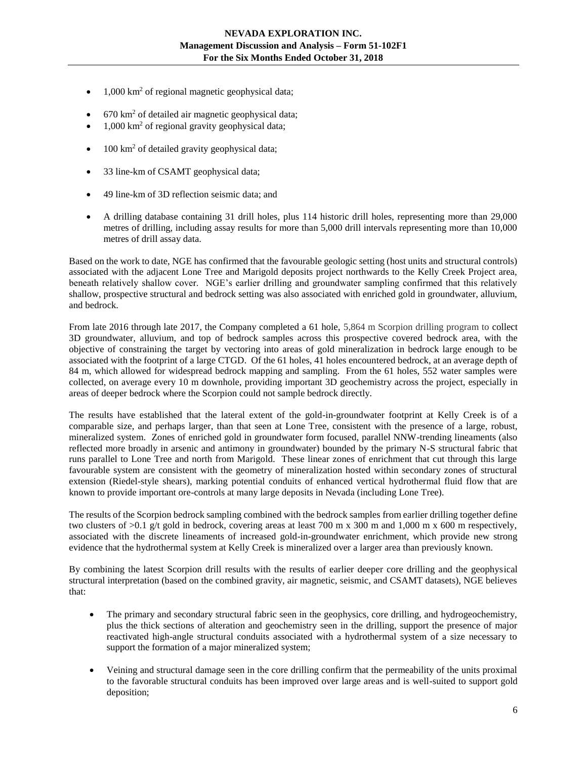- $1,000 \text{ km}^2$  of regional magnetic geophysical data;
- $670 \text{ km}^2$  of detailed air magnetic geophysical data;
- $1,000 \text{ km}^2$  of regional gravity geophysical data;
- $\bullet$  100 km<sup>2</sup> of detailed gravity geophysical data;
- 33 line-km of CSAMT geophysical data;
- 49 line-km of 3D reflection seismic data; and
- A drilling database containing 31 drill holes, plus 114 historic drill holes, representing more than 29,000 metres of drilling, including assay results for more than 5,000 drill intervals representing more than 10,000 metres of drill assay data.

Based on the work to date, NGE has confirmed that the favourable geologic setting (host units and structural controls) associated with the adjacent Lone Tree and Marigold deposits project northwards to the Kelly Creek Project area, beneath relatively shallow cover. NGE's earlier drilling and groundwater sampling confirmed that this relatively shallow, prospective structural and bedrock setting was also associated with enriched gold in groundwater, alluvium, and bedrock.

From late 2016 through late 2017, the Company completed a 61 hole, 5,864 m Scorpion drilling program to collect 3D groundwater, alluvium, and top of bedrock samples across this prospective covered bedrock area, with the objective of constraining the target by vectoring into areas of gold mineralization in bedrock large enough to be associated with the footprint of a large CTGD. Of the 61 holes, 41 holes encountered bedrock, at an average depth of 84 m, which allowed for widespread bedrock mapping and sampling. From the 61 holes, 552 water samples were collected, on average every 10 m downhole, providing important 3D geochemistry across the project, especially in areas of deeper bedrock where the Scorpion could not sample bedrock directly.

The results have established that the lateral extent of the gold-in-groundwater footprint at Kelly Creek is of a comparable size, and perhaps larger, than that seen at Lone Tree, consistent with the presence of a large, robust, mineralized system. Zones of enriched gold in groundwater form focused, parallel NNW-trending lineaments (also reflected more broadly in arsenic and antimony in groundwater) bounded by the primary N-S structural fabric that runs parallel to Lone Tree and north from Marigold. These linear zones of enrichment that cut through this large favourable system are consistent with the geometry of mineralization hosted within secondary zones of structural extension (Riedel-style shears), marking potential conduits of enhanced vertical hydrothermal fluid flow that are known to provide important ore-controls at many large deposits in Nevada (including Lone Tree).

The results of the Scorpion bedrock sampling combined with the bedrock samples from earlier drilling together define two clusters of  $>0.1$  g/t gold in bedrock, covering areas at least 700 m x 300 m and 1,000 m x 600 m respectively, associated with the discrete lineaments of increased gold-in-groundwater enrichment, which provide new strong evidence that the hydrothermal system at Kelly Creek is mineralized over a larger area than previously known.

By combining the latest Scorpion drill results with the results of earlier deeper core drilling and the geophysical structural interpretation (based on the combined gravity, air magnetic, seismic, and CSAMT datasets), NGE believes that:

- The primary and secondary structural fabric seen in the geophysics, core drilling, and hydrogeochemistry, plus the thick sections of alteration and geochemistry seen in the drilling, support the presence of major reactivated high-angle structural conduits associated with a hydrothermal system of a size necessary to support the formation of a major mineralized system;
- Veining and structural damage seen in the core drilling confirm that the permeability of the units proximal to the favorable structural conduits has been improved over large areas and is well-suited to support gold deposition;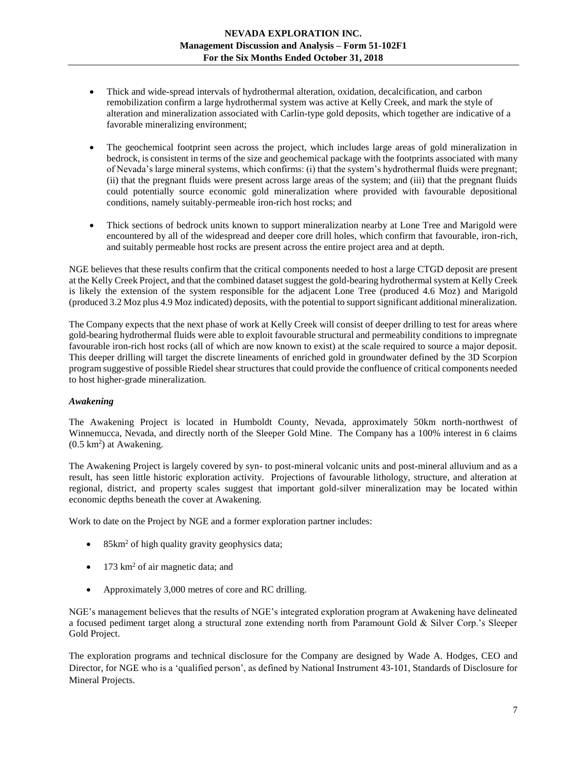- Thick and wide-spread intervals of hydrothermal alteration, oxidation, decalcification, and carbon remobilization confirm a large hydrothermal system was active at Kelly Creek, and mark the style of alteration and mineralization associated with Carlin-type gold deposits, which together are indicative of a favorable mineralizing environment;
- The geochemical footprint seen across the project, which includes large areas of gold mineralization in bedrock, is consistent in terms of the size and geochemical package with the footprints associated with many of Nevada's large mineral systems, which confirms: (i) that the system's hydrothermal fluids were pregnant; (ii) that the pregnant fluids were present across large areas of the system; and (iii) that the pregnant fluids could potentially source economic gold mineralization where provided with favourable depositional conditions, namely suitably-permeable iron-rich host rocks; and
- Thick sections of bedrock units known to support mineralization nearby at Lone Tree and Marigold were encountered by all of the widespread and deeper core drill holes, which confirm that favourable, iron-rich, and suitably permeable host rocks are present across the entire project area and at depth.

NGE believes that these results confirm that the critical components needed to host a large CTGD deposit are present at the Kelly Creek Project, and that the combined dataset suggest the gold-bearing hydrothermal system at Kelly Creek is likely the extension of the system responsible for the adjacent Lone Tree (produced 4.6 Moz) and Marigold (produced 3.2 Moz plus 4.9 Moz indicated) deposits, with the potential to support significant additional mineralization.

The Company expects that the next phase of work at Kelly Creek will consist of deeper drilling to test for areas where gold-bearing hydrothermal fluids were able to exploit favourable structural and permeability conditions to impregnate favourable iron-rich host rocks (all of which are now known to exist) at the scale required to source a major deposit. This deeper drilling will target the discrete lineaments of enriched gold in groundwater defined by the 3D Scorpion program suggestive of possible Riedel shear structures that could provide the confluence of critical components needed to host higher-grade mineralization.

## <span id="page-6-0"></span>*Awakening*

The Awakening Project is located in Humboldt County, Nevada, approximately 50km north-northwest of Winnemucca, Nevada, and directly north of the Sleeper Gold Mine. The Company has a 100% interest in 6 claims  $(0.5 \text{ km}^2)$  at Awakening.

The Awakening Project is largely covered by syn- to post-mineral volcanic units and post-mineral alluvium and as a result, has seen little historic exploration activity. Projections of favourable lithology, structure, and alteration at regional, district, and property scales suggest that important gold-silver mineralization may be located within economic depths beneath the cover at Awakening.

Work to date on the Project by NGE and a former exploration partner includes:

- 85km<sup>2</sup> of high quality gravity geophysics data;
- 173 km<sup>2</sup> of air magnetic data; and
- Approximately 3,000 metres of core and RC drilling.

NGE's management believes that the results of NGE's integrated exploration program at Awakening have delineated a focused pediment target along a structural zone extending north from Paramount Gold & Silver Corp.'s Sleeper Gold Project.

The exploration programs and technical disclosure for the Company are designed by Wade A. Hodges, CEO and Director, for NGE who is a 'qualified person', as defined by National Instrument 43-101, Standards of Disclosure for Mineral Projects.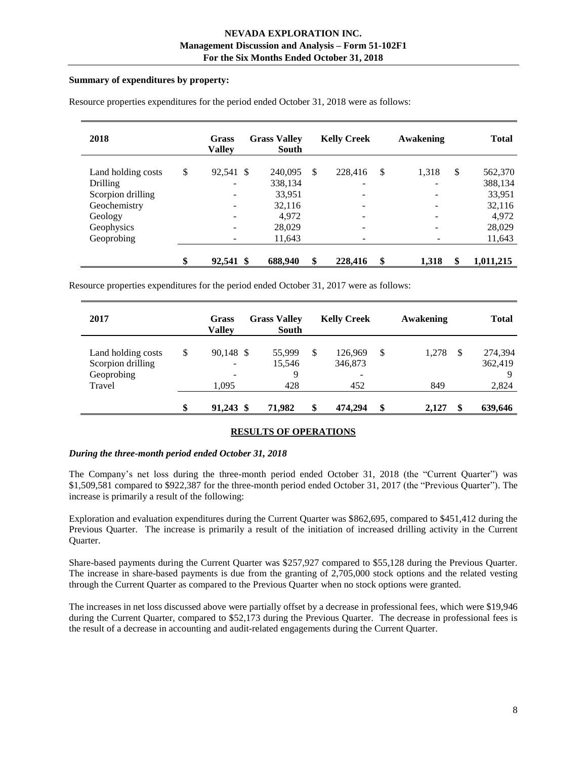## **Summary of expenditures by property:**

| 2018               | <b>Grass</b><br><b>Valley</b> | <b>Grass Valley</b><br>South |               | <b>Kelly Creek</b>       |               | Awakening | <b>Total</b>    |
|--------------------|-------------------------------|------------------------------|---------------|--------------------------|---------------|-----------|-----------------|
| Land holding costs | \$<br>92,541 \$               | 240,095                      | <sup>\$</sup> | 228,416                  | <sup>\$</sup> | 1,318     | \$<br>562,370   |
| <b>Drilling</b>    |                               | 338,134                      |               | -                        |               |           | 388,134         |
| Scorpion drilling  |                               | 33,951                       |               | ۰                        |               |           | 33,951          |
| Geochemistry       | $\overline{\phantom{a}}$      | 32,116                       |               | $\overline{\phantom{a}}$ |               |           | 32,116          |
| Geology            |                               | 4,972                        |               | $\overline{\phantom{a}}$ |               |           | 4,972           |
| Geophysics         | $\qquad \qquad \blacksquare$  | 28,029                       |               | $\overline{\phantom{a}}$ |               |           | 28,029          |
| Geoprobing         |                               | 11,643                       |               | ۰                        |               |           | 11,643          |
|                    | \$<br>92,541 \$               | 688,940                      | \$            | 228,416                  | \$            | 1,318     | \$<br>1,011,215 |

Resource properties expenditures for the period ended October 31, 2018 were as follows:

Resource properties expenditures for the period ended October 31, 2017 were as follows:

| 2017                                                  | Grass<br><b>Valley</b>                                                      | <b>Grass Valley</b><br><b>South</b> | <b>Kelly Creek</b>                                   | Awakening   |          | Total                   |
|-------------------------------------------------------|-----------------------------------------------------------------------------|-------------------------------------|------------------------------------------------------|-------------|----------|-------------------------|
| Land holding costs<br>Scorpion drilling<br>Geoprobing | \$<br>90,148 \$<br>$\overline{\phantom{a}}$<br>$\qquad \qquad \blacksquare$ | 55,999<br>15,546<br>9               | \$<br>126.969<br>346,873<br>$\overline{\phantom{a}}$ | \$<br>1.278 | <b>S</b> | 274,394<br>362,419<br>Q |
| Travel                                                | 1,095                                                                       | 428                                 | 452                                                  | 849         |          | 2,824                   |
|                                                       | \$<br>91.243 \$                                                             | 71.982                              | \$<br>474,294                                        | \$<br>2.127 | S        | 639,646                 |

## **RESULTS OF OPERATIONS**

## <span id="page-7-0"></span>*During the three-month period ended October 31, 2018*

The Company's net loss during the three-month period ended October 31, 2018 (the "Current Quarter") was \$1,509,581 compared to \$922,387 for the three-month period ended October 31, 2017 (the "Previous Quarter"). The increase is primarily a result of the following:

Exploration and evaluation expenditures during the Current Quarter was \$862,695, compared to \$451,412 during the Previous Quarter. The increase is primarily a result of the initiation of increased drilling activity in the Current Quarter.

Share-based payments during the Current Quarter was \$257,927 compared to \$55,128 during the Previous Quarter. The increase in share-based payments is due from the granting of 2,705,000 stock options and the related vesting through the Current Quarter as compared to the Previous Quarter when no stock options were granted.

The increases in net loss discussed above were partially offset by a decrease in professional fees, which were \$19,946 during the Current Quarter, compared to \$52,173 during the Previous Quarter. The decrease in professional fees is the result of a decrease in accounting and audit-related engagements during the Current Quarter.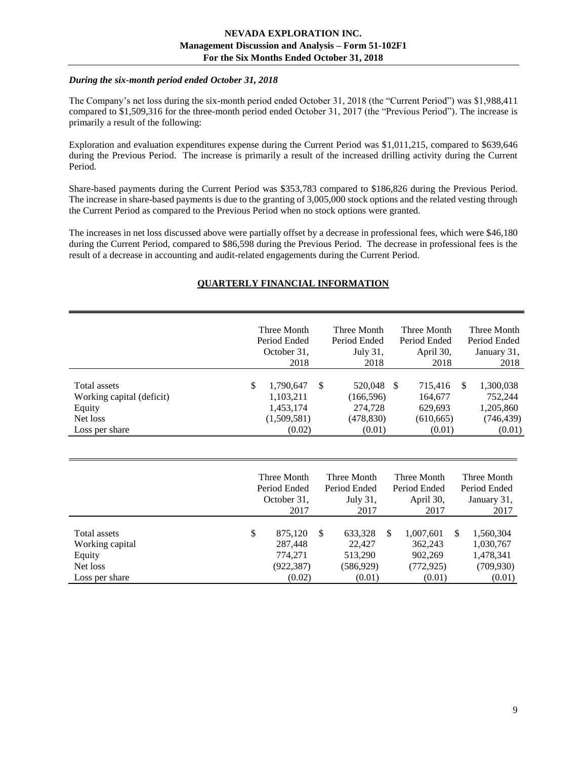## *During the six-month period ended October 31, 2018*

The Company's net loss during the six-month period ended October 31, 2018 (the "Current Period") was \$1,988,411 compared to \$1,509,316 for the three-month period ended October 31, 2017 (the "Previous Period"). The increase is primarily a result of the following:

Exploration and evaluation expenditures expense during the Current Period was \$1,011,215, compared to \$639,646 during the Previous Period. The increase is primarily a result of the increased drilling activity during the Current Period.

Share-based payments during the Current Period was \$353,783 compared to \$186,826 during the Previous Period. The increase in share-based payments is due to the granting of 3,005,000 stock options and the related vesting through the Current Period as compared to the Previous Period when no stock options were granted.

<span id="page-8-0"></span>The increases in net loss discussed above were partially offset by a decrease in professional fees, which were \$46,180 during the Current Period, compared to \$86,598 during the Previous Period. The decrease in professional fees is the result of a decrease in accounting and audit-related engagements during the Current Period.

# **QUARTERLY FINANCIAL INFORMATION**

|                                                                                          |              | Three Month<br>Period Ended<br>October 31,<br>2018           | <b>Three Month</b><br>Period Ended<br>July 31,<br>2018         | Three Month<br>Period Ended<br>April 30,<br>2018              | Three Month<br>Period Ended<br>January 31,<br>2018                |
|------------------------------------------------------------------------------------------|--------------|--------------------------------------------------------------|----------------------------------------------------------------|---------------------------------------------------------------|-------------------------------------------------------------------|
| <b>Total assets</b><br>Working capital (deficit)<br>Equity<br>Net loss<br>Loss per share | $\mathbb{S}$ | 1,790,647<br>1,103,211<br>1,453,174<br>(1,509,581)<br>(0.02) | \$<br>520,048<br>(166, 596)<br>274,728<br>(478, 830)<br>(0.01) | -S<br>715,416<br>164,677<br>629,693<br>(610, 665)<br>(0.01)   | \$.<br>1,300,038<br>752,244<br>1,205,860<br>(746, 439)<br>(0.01)  |
|                                                                                          |              | Three Month<br>Period Ended<br>October 31,<br>2017           | Three Month<br>Period Ended<br>July $31$ .<br>2017             | Three Month<br>Period Ended<br>April 30,<br>2017              | Three Month<br>Period Ended<br>January 31,<br>2017                |
| Total assets<br>Working capital<br>Equity<br>Net loss<br>Loss per share                  | \$           | 875,120<br>287,448<br>774,271<br>(922, 387)<br>(0.02)        | \$<br>633,328<br>22,427<br>513,290<br>(586, 929)<br>(0.01)     | \$<br>1,007,601<br>362,243<br>902,269<br>(772, 925)<br>(0.01) | \$<br>1,560,304<br>1,030,767<br>1,478,341<br>(709, 930)<br>(0.01) |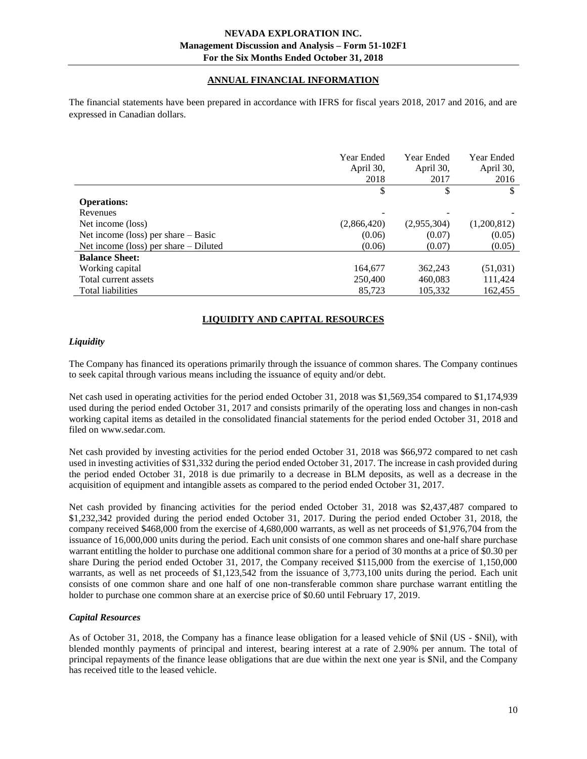# **ANNUAL FINANCIAL INFORMATION**

<span id="page-9-0"></span>The financial statements have been prepared in accordance with IFRS for fiscal years 2018, 2017 and 2016, and are expressed in Canadian dollars.

|                                         | Year Ended<br>April 30,<br>2018 | Year Ended<br>April 30,<br>2017 | Year Ended<br>April 30,<br>2016 |
|-----------------------------------------|---------------------------------|---------------------------------|---------------------------------|
|                                         | \$                              | \$                              | \$                              |
| <b>Operations:</b>                      |                                 |                                 |                                 |
| Revenues                                |                                 |                                 |                                 |
| Net income (loss)                       | (2,866,420)                     | (2,955,304)                     | (1,200,812)                     |
| Net income (loss) per share $-$ Basic   | (0.06)                          | (0.07)                          | (0.05)                          |
| Net income (loss) per share $-$ Diluted | (0.06)                          | (0.07)                          | (0.05)                          |
| <b>Balance Sheet:</b>                   |                                 |                                 |                                 |
| Working capital                         | 164,677                         | 362,243                         | (51,031)                        |
| Total current assets                    | 250,400                         | 460,083                         | 111,424                         |
| Total liabilities                       | 85.723                          | 105,332                         | 162,455                         |

# **LIQUIDITY AND CAPITAL RESOURCES**

#### <span id="page-9-1"></span>*Liquidity*

The Company has financed its operations primarily through the issuance of common shares. The Company continues to seek capital through various means including the issuance of equity and/or debt.

Net cash used in operating activities for the period ended October 31, 2018 was \$1,569,354 compared to \$1,174,939 used during the period ended October 31, 2017 and consists primarily of the operating loss and changes in non-cash working capital items as detailed in the consolidated financial statements for the period ended October 31, 2018 and filed on www.sedar.com.

Net cash provided by investing activities for the period ended October 31, 2018 was \$66,972 compared to net cash used in investing activities of \$31,332 during the period ended October 31, 2017. The increase in cash provided during the period ended October 31, 2018 is due primarily to a decrease in BLM deposits, as well as a decrease in the acquisition of equipment and intangible assets as compared to the period ended October 31, 2017.

Net cash provided by financing activities for the period ended October 31, 2018 was \$2,437,487 compared to \$1,232,342 provided during the period ended October 31, 2017. During the period ended October 31, 2018, the company received \$468,000 from the exercise of 4,680,000 warrants, as well as net proceeds of \$1,976,704 from the issuance of 16,000,000 units during the period. Each unit consists of one common shares and one-half share purchase warrant entitling the holder to purchase one additional common share for a period of 30 months at a price of \$0.30 per share During the period ended October 31, 2017, the Company received \$115,000 from the exercise of 1,150,000 warrants, as well as net proceeds of \$1,123,542 from the issuance of 3,773,100 units during the period. Each unit consists of one common share and one half of one non-transferable common share purchase warrant entitling the holder to purchase one common share at an exercise price of \$0.60 until February 17, 2019.

## *Capital Resources*

As of October 31, 2018, the Company has a finance lease obligation for a leased vehicle of \$Nil (US - \$Nil), with blended monthly payments of principal and interest, bearing interest at a rate of 2.90% per annum. The total of principal repayments of the finance lease obligations that are due within the next one year is \$Nil, and the Company has received title to the leased vehicle.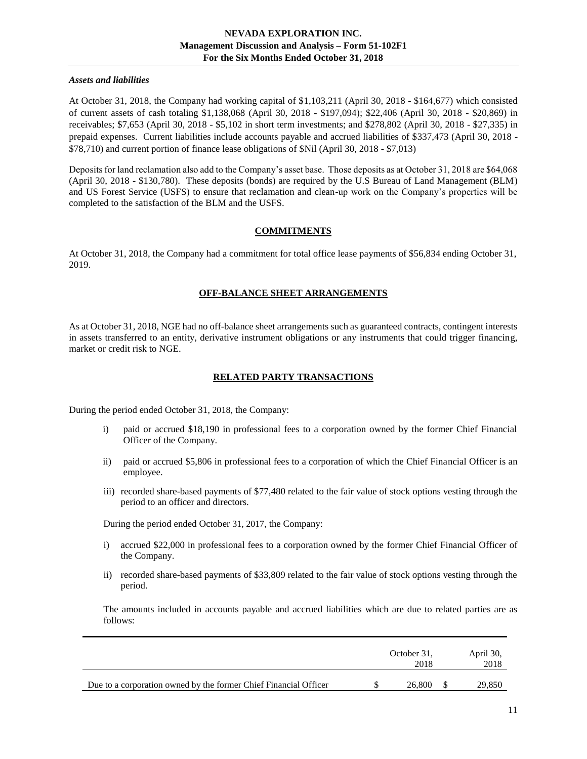#### *Assets and liabilities*

At October 31, 2018, the Company had working capital of \$1,103,211 (April 30, 2018 - \$164,677) which consisted of current assets of cash totaling \$1,138,068 (April 30, 2018 - \$197,094); \$22,406 (April 30, 2018 - \$20,869) in receivables; \$7,653 (April 30, 2018 - \$5,102 in short term investments; and \$278,802 (April 30, 2018 - \$27,335) in prepaid expenses. Current liabilities include accounts payable and accrued liabilities of \$337,473 (April 30, 2018 - \$78,710) and current portion of finance lease obligations of \$Nil (April 30, 2018 - \$7,013)

Deposits for land reclamation also add to the Company's asset base. Those deposits as at October 31, 2018 are \$64,068 (April 30, 2018 - \$130,780). These deposits (bonds) are required by the U.S Bureau of Land Management (BLM) and US Forest Service (USFS) to ensure that reclamation and clean-up work on the Company's properties will be completed to the satisfaction of the BLM and the USFS.

# **COMMITMENTS**

<span id="page-10-1"></span><span id="page-10-0"></span>At October 31, 2018, the Company had a commitment for total office lease payments of \$56,834 ending October 31, 2019.

# **OFF-BALANCE SHEET ARRANGEMENTS**

<span id="page-10-2"></span>As at October 31, 2018, NGE had no off-balance sheet arrangements such as guaranteed contracts, contingent interests in assets transferred to an entity, derivative instrument obligations or any instruments that could trigger financing, market or credit risk to NGE.

# **RELATED PARTY TRANSACTIONS**

During the period ended October 31, 2018, the Company:

- i) paid or accrued \$18,190 in professional fees to a corporation owned by the former Chief Financial Officer of the Company.
- ii) paid or accrued \$5,806 in professional fees to a corporation of which the Chief Financial Officer is an employee.
- iii) recorded share-based payments of \$77,480 related to the fair value of stock options vesting through the period to an officer and directors.

During the period ended October 31, 2017, the Company:

- i) accrued \$22,000 in professional fees to a corporation owned by the former Chief Financial Officer of the Company.
- ii) recorded share-based payments of \$33,809 related to the fair value of stock options vesting through the period.

The amounts included in accounts payable and accrued liabilities which are due to related parties are as follows:

|                                                                  | October 31,<br>2018 | April 30,<br>2018 |
|------------------------------------------------------------------|---------------------|-------------------|
| Due to a corporation owned by the former Chief Financial Officer | 26,800              | 29,850            |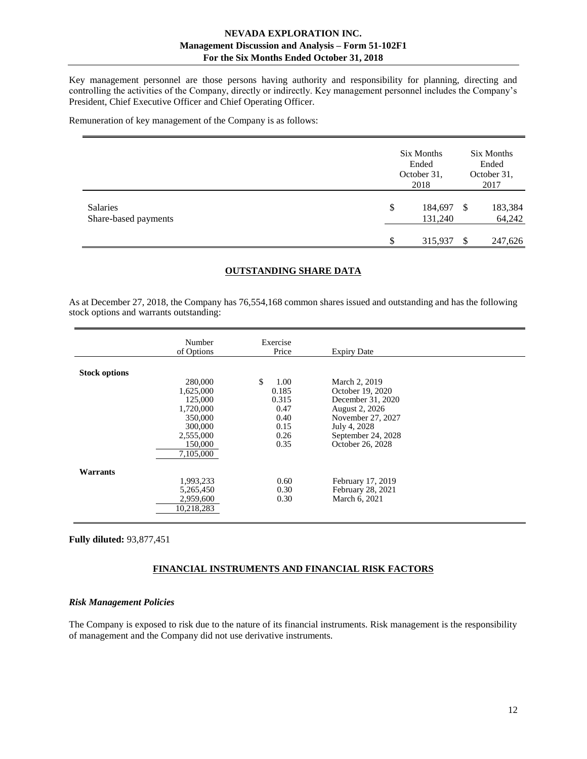Key management personnel are those persons having authority and responsibility for planning, directing and controlling the activities of the Company, directly or indirectly. Key management personnel includes the Company's President, Chief Executive Officer and Chief Operating Officer.

Remuneration of key management of the Company is as follows:

|                                  | Six Months<br>Ended<br>October 31,<br>2018 |   | Six Months<br>Ended<br>October 31,<br>2017 |
|----------------------------------|--------------------------------------------|---|--------------------------------------------|
| Salaries<br>Share-based payments | \$<br>184,697<br>131,240                   | S | 183,384<br>64,242                          |
|                                  | \$<br>315,937                              |   | 247,626                                    |

#### **OUTSTANDING SHARE DATA**

<span id="page-11-0"></span>As at December 27, 2018, the Company has 76,554,168 common shares issued and outstanding and has the following stock options and warrants outstanding:

|                      | Number<br>of Options                                                                                    | Exercise<br>Price                                                    | <b>Expiry Date</b>                                                                                                                                      |  |
|----------------------|---------------------------------------------------------------------------------------------------------|----------------------------------------------------------------------|---------------------------------------------------------------------------------------------------------------------------------------------------------|--|
| <b>Stock options</b> | 280,000<br>1,625,000<br>125,000<br>1,720,000<br>350,000<br>300,000<br>2,555,000<br>150,000<br>7,105,000 | \$<br>1.00<br>0.185<br>0.315<br>0.47<br>0.40<br>0.15<br>0.26<br>0.35 | March 2, 2019<br>October 19, 2020<br>December 31, 2020<br>August 2, 2026<br>November 27, 2027<br>July 4, 2028<br>September 24, 2028<br>October 26, 2028 |  |
| Warrants             | 1,993,233<br>5,265,450<br>2,959,600<br>10,218,283                                                       | 0.60<br>0.30<br>0.30                                                 | February 17, 2019<br>February 28, 2021<br>March 6, 2021                                                                                                 |  |

<span id="page-11-1"></span>**Fully diluted:** 93,877,451

## **FINANCIAL INSTRUMENTS AND FINANCIAL RISK FACTORS**

#### *Risk Management Policies*

The Company is exposed to risk due to the nature of its financial instruments. Risk management is the responsibility of management and the Company did not use derivative instruments.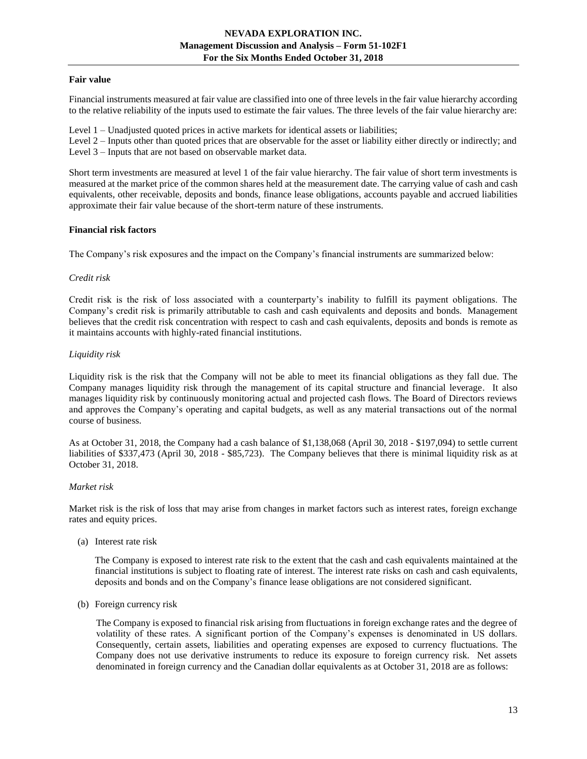## **Fair value**

Financial instruments measured at fair value are classified into one of three levels in the fair value hierarchy according to the relative reliability of the inputs used to estimate the fair values. The three levels of the fair value hierarchy are:

Level 1 – Unadjusted quoted prices in active markets for identical assets or liabilities;

Level 2 – Inputs other than quoted prices that are observable for the asset or liability either directly or indirectly; and Level 3 – Inputs that are not based on observable market data.

Short term investments are measured at level 1 of the fair value hierarchy. The fair value of short term investments is measured at the market price of the common shares held at the measurement date. The carrying value of cash and cash equivalents, other receivable, deposits and bonds, finance lease obligations, accounts payable and accrued liabilities approximate their fair value because of the short-term nature of these instruments.

## **Financial risk factors**

The Company's risk exposures and the impact on the Company's financial instruments are summarized below:

#### *Credit risk*

Credit risk is the risk of loss associated with a counterparty's inability to fulfill its payment obligations. The Company's credit risk is primarily attributable to cash and cash equivalents and deposits and bonds. Management believes that the credit risk concentration with respect to cash and cash equivalents, deposits and bonds is remote as it maintains accounts with highly-rated financial institutions.

#### *Liquidity risk*

Liquidity risk is the risk that the Company will not be able to meet its financial obligations as they fall due. The Company manages liquidity risk through the management of its capital structure and financial leverage. It also manages liquidity risk by continuously monitoring actual and projected cash flows. The Board of Directors reviews and approves the Company's operating and capital budgets, as well as any material transactions out of the normal course of business.

As at October 31, 2018, the Company had a cash balance of \$1,138,068 (April 30, 2018 - \$197,094) to settle current liabilities of \$337,473 (April 30, 2018 - \$85,723). The Company believes that there is minimal liquidity risk as at October 31, 2018.

## *Market risk*

Market risk is the risk of loss that may arise from changes in market factors such as interest rates, foreign exchange rates and equity prices.

(a) Interest rate risk

The Company is exposed to interest rate risk to the extent that the cash and cash equivalents maintained at the financial institutions is subject to floating rate of interest. The interest rate risks on cash and cash equivalents, deposits and bonds and on the Company's finance lease obligations are not considered significant.

(b) Foreign currency risk

The Company is exposed to financial risk arising from fluctuations in foreign exchange rates and the degree of volatility of these rates. A significant portion of the Company's expenses is denominated in US dollars. Consequently, certain assets, liabilities and operating expenses are exposed to currency fluctuations. The Company does not use derivative instruments to reduce its exposure to foreign currency risk. Net assets denominated in foreign currency and the Canadian dollar equivalents as at October 31, 2018 are as follows: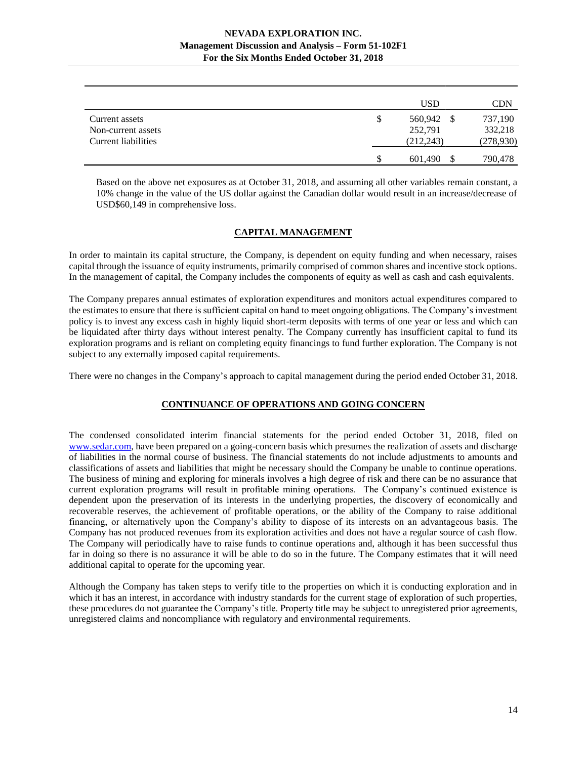|                     |   | <b>USD</b> | <b>CDN</b> |
|---------------------|---|------------|------------|
| Current assets      | S | 560,942    | 737,190    |
| Non-current assets  |   | 252,791    | 332,218    |
| Current liabilities |   | (212, 243) | (278,930)  |
|                     |   | 601,490    | 790,478    |

Based on the above net exposures as at October 31, 2018, and assuming all other variables remain constant, a 10% change in the value of the US dollar against the Canadian dollar would result in an increase/decrease of USD\$60,149 in comprehensive loss.

## **CAPITAL MANAGEMENT**

<span id="page-13-0"></span>In order to maintain its capital structure, the Company, is dependent on equity funding and when necessary, raises capital through the issuance of equity instruments, primarily comprised of common shares and incentive stock options. In the management of capital, the Company includes the components of equity as well as cash and cash equivalents.

The Company prepares annual estimates of exploration expenditures and monitors actual expenditures compared to the estimates to ensure that there is sufficient capital on hand to meet ongoing obligations. The Company's investment policy is to invest any excess cash in highly liquid short-term deposits with terms of one year or less and which can be liquidated after thirty days without interest penalty. The Company currently has insufficient capital to fund its exploration programs and is reliant on completing equity financings to fund further exploration. The Company is not subject to any externally imposed capital requirements.

<span id="page-13-1"></span>There were no changes in the Company's approach to capital management during the period ended October 31, 2018.

## **CONTINUANCE OF OPERATIONS AND GOING CONCERN**

The condensed consolidated interim financial statements for the period ended October 31, 2018, filed on [www.sedar.com,](http://www.sedar.com/) have been prepared on a going-concern basis which presumes the realization of assets and discharge of liabilities in the normal course of business. The financial statements do not include adjustments to amounts and classifications of assets and liabilities that might be necessary should the Company be unable to continue operations. The business of mining and exploring for minerals involves a high degree of risk and there can be no assurance that current exploration programs will result in profitable mining operations. The Company's continued existence is dependent upon the preservation of its interests in the underlying properties, the discovery of economically and recoverable reserves, the achievement of profitable operations, or the ability of the Company to raise additional financing, or alternatively upon the Company's ability to dispose of its interests on an advantageous basis. The Company has not produced revenues from its exploration activities and does not have a regular source of cash flow. The Company will periodically have to raise funds to continue operations and, although it has been successful thus far in doing so there is no assurance it will be able to do so in the future. The Company estimates that it will need additional capital to operate for the upcoming year.

Although the Company has taken steps to verify title to the properties on which it is conducting exploration and in which it has an interest, in accordance with industry standards for the current stage of exploration of such properties, these procedures do not guarantee the Company's title. Property title may be subject to unregistered prior agreements, unregistered claims and noncompliance with regulatory and environmental requirements.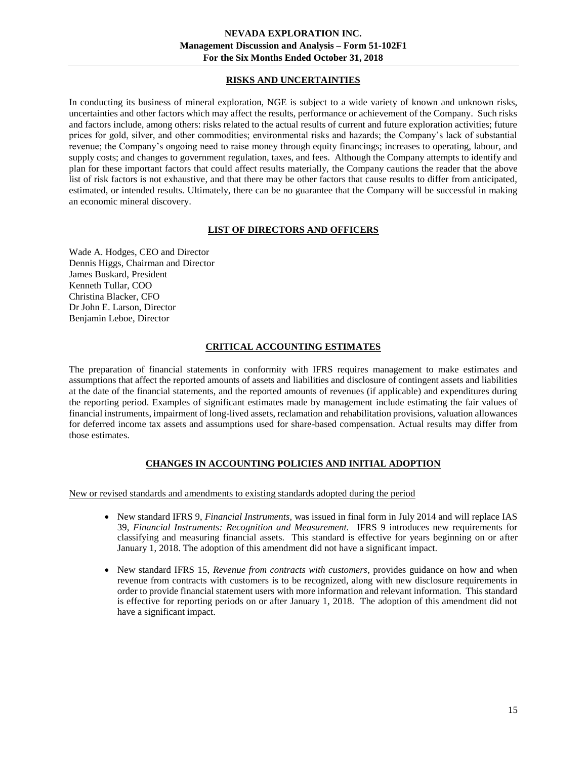# **RISKS AND UNCERTAINTIES**

<span id="page-14-0"></span>In conducting its business of mineral exploration, NGE is subject to a wide variety of known and unknown risks, uncertainties and other factors which may affect the results, performance or achievement of the Company. Such risks and factors include, among others: risks related to the actual results of current and future exploration activities; future prices for gold, silver, and other commodities; environmental risks and hazards; the Company's lack of substantial revenue; the Company's ongoing need to raise money through equity financings; increases to operating, labour, and supply costs; and changes to government regulation, taxes, and fees. Although the Company attempts to identify and plan for these important factors that could affect results materially, the Company cautions the reader that the above list of risk factors is not exhaustive, and that there may be other factors that cause results to differ from anticipated, estimated, or intended results. Ultimately, there can be no guarantee that the Company will be successful in making an economic mineral discovery.

# **LIST OF DIRECTORS AND OFFICERS**

<span id="page-14-1"></span>Wade A. Hodges, CEO and Director Dennis Higgs, Chairman and Director James Buskard, President Kenneth Tullar, COO Christina Blacker, CFO Dr John E. Larson, Director Benjamin Leboe, Director

# **CRITICAL ACCOUNTING ESTIMATES**

<span id="page-14-2"></span>The preparation of financial statements in conformity with IFRS requires management to make estimates and assumptions that affect the reported amounts of assets and liabilities and disclosure of contingent assets and liabilities at the date of the financial statements, and the reported amounts of revenues (if applicable) and expenditures during the reporting period. Examples of significant estimates made by management include estimating the fair values of financial instruments, impairment of long-lived assets, reclamation and rehabilitation provisions, valuation allowances for deferred income tax assets and assumptions used for share-based compensation. Actual results may differ from those estimates.

# **CHANGES IN ACCOUNTING POLICIES AND INITIAL ADOPTION**

<span id="page-14-3"></span>New or revised standards and amendments to existing standards adopted during the period

- New standard IFRS 9, *Financial Instruments*, was issued in final form in July 2014 and will replace IAS 39, *Financial Instruments: Recognition and Measurement.* IFRS 9 introduces new requirements for classifying and measuring financial assets. This standard is effective for years beginning on or after January 1, 2018. The adoption of this amendment did not have a significant impact.
- New standard IFRS 15, *Revenue from contracts with customers*, provides guidance on how and when revenue from contracts with customers is to be recognized, along with new disclosure requirements in order to provide financial statement users with more information and relevant information. This standard is effective for reporting periods on or after January 1, 2018. The adoption of this amendment did not have a significant impact.